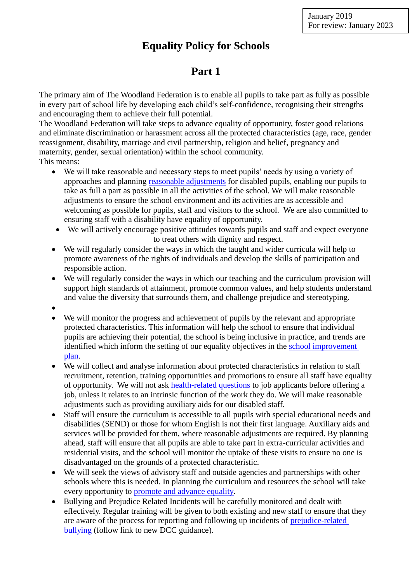# **Equality Policy for Schools**

## **Part 1**

The primary aim of The Woodland Federation is to enable all pupils to take part as fully as possible in every part of school life by developing each child's self-confidence, recognising their strengths and encouraging them to achieve their full potential.

The Woodland Federation will take steps to advance equality of opportunity, foster good relations and eliminate discrimination or harassment across all the protected characteristics (age, race, gender reassignment, disability, marriage and civil partnership, religion and belief, pregnancy and maternity, gender, sexual orientation) within the school community.

This means:

- We will take reasonable and necessary steps to meet pupils' needs by using a variety of approaches and planning [reasonable adjustments](#page-3-0) for disabled pupils, enabling our pupils to take as full a part as possible in all the activities of the school. We will make reasonable adjustments to ensure the school environment and its activities are as accessible and welcoming as possible for pupils, staff and visitors to the school. We are also committed to ensuring staff with a disability have equality of opportunity.
- We will actively encourage positive attitudes towards pupils and staff and expect everyone to treat others with dignity and respect.
- We will regularly consider the ways in which the taught and wider curricula will help to promote awareness of the rights of individuals and develop the skills of participation and responsible action.
- We will regularly consider the ways in which our teaching and the curriculum provision will support high standards of attainment, promote common values, and help students understand and value the diversity that surrounds them, and challenge prejudice and stereotyping.
- $\bullet$
- We will monitor the progress and achievement of pupils by the relevant and appropriate protected characteristics. This information will help the school to ensure that individual pupils are achieving their potential, the school is being inclusive in practice, and trends are identified which inform the setting of our equality objectives in the school improvement plan.
- We will collect and analyse information about protected characteristics in relation to staff recruitment, retention, training opportunities and promotions to ensure all staff have equality of opportunity. We will not ask [health-related questions](#page-4-0) to job applicants before offering a job, unless it relates to an intrinsic function of the work they do. We will make reasonable adjustments such as providing auxiliary aids for our disabled staff.
- Staff will ensure the curriculum is accessible to all pupils with special educational needs and disabilities (SEND) or those for whom English is not their first language. Auxiliary aids and services will be provided for them, where reasonable adjustments are required. By planning ahead, staff will ensure that all pupils are able to take part in extra-curricular activities and residential visits, and the school will monitor the uptake of these visits to ensure no one is disadvantaged on the grounds of a protected characteristic.
- We will seek the views of advisory staff and outside agencies and partnerships with other schools where this is needed. In planning the curriculum and resources the school will take every opportunity to promote and advance equality.
- Bullying and Prejudice Related Incidents will be carefully monitored and dealt with effectively. Regular training will be given to both existing and new staff to ensure that they are aware of the process for reporting and following up incidents of [prejudice-related](http://www.babcock-education.co.uk/ldp/view_folder.asp?folderid=125847&depth=1&rootid=125847&level1=&level1id=)  [bullying](http://www.babcock-education.co.uk/ldp/view_folder.asp?folderid=125847&depth=1&rootid=125847&level1=&level1id=) (follow link to new DCC guidance).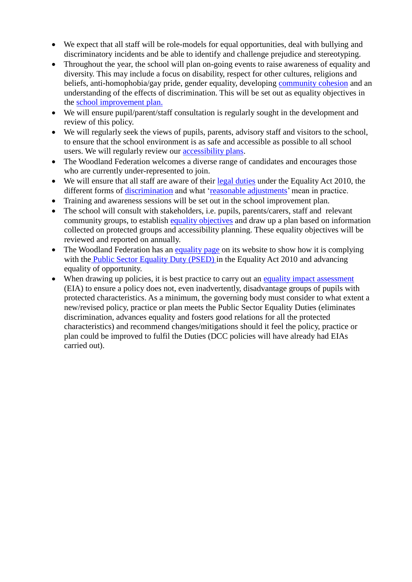- We expect that all staff will be role-models for equal opportunities, deal with bullying and discriminatory incidents and be able to identify and challenge prejudice and stereotyping.
- Throughout the year, the school will plan on-going events to raise awareness of equality and diversity. This may include a focus on disability, respect for other cultures, religions and beliefs, anti-homophobia/gay pride, gender equality, developing [community cohesion](#page-5-0) and an understanding of the effects of discrimination. This will be set out as equality objectives in the school improvement plan.
- We will ensure pupil/parent/staff consultation is regularly sought in the development and review of this policy.
- We will regularly seek the views of pupils, parents, advisory staff and visitors to the school, to ensure that the school environment is as safe and accessible as possible to all school users. We will regularly review our [accessibility plans.](#page-3-1)
- The Woodland Federation welcomes a diverse range of candidates and encourages those who are currently under-represented to join.
- We will ensure that all staff are aware of their [legal duties](#page-1-0) under the Equality Act 2010, the different forms of [discrimination](#page-3-2) and what ['reasonable adjustments'](#page-3-0) mean in practice.
- Training and awareness sessions will be set out in the school improvement plan.
- The school will consult with stakeholders, i.e. pupils, parents/carers, staff and relevant community groups, to establish [equality objectives](#page-3-0) and draw up a plan based on information collected on protected groups and accessibility planning. These equality objectives will be reviewed and reported on annually.
- The Woodland Federation has an equality page on its website to show how it is complying with the [Public Sector Equality Duty \(PSED\) i](#page-3-3)n the Equality Act 2010 and advancing equality of opportunity.
- <span id="page-1-0"></span>• When drawing up policies, it is best practice to carry out an [equality impact assessment](http://www.devon.gov.uk/impact) (EIA) to ensure a policy does not, even inadvertently, disadvantage groups of pupils with protected characteristics. As a minimum, the governing body must consider to what extent a new/revised policy, practice or plan meets the Public Sector Equality Duties (eliminates discrimination, advances equality and fosters good relations for all the protected characteristics) and recommend changes/mitigations should it feel the policy, practice or plan could be improved to fulfil the Duties (DCC policies will have already had EIAs carried out).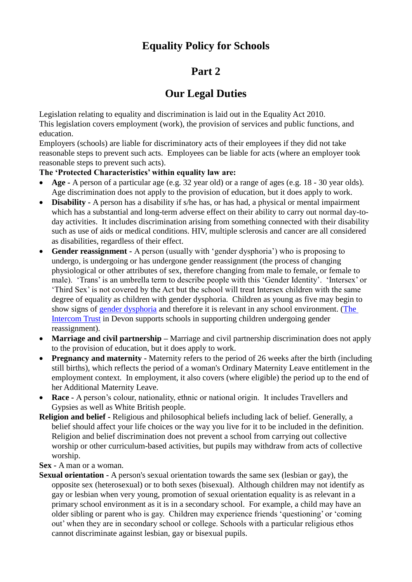# **Equality Policy for Schools**

## **Part 2**

## **Our Legal Duties**

Legislation relating to equality and discrimination is laid out in the Equality Act 2010. This legislation covers employment (work), the provision of services and public functions, and education.

Employers (schools) are liable for discriminatory acts of their employees if they did not take reasonable steps to prevent such acts. Employees can be liable for acts (where an employer took reasonable steps to prevent such acts).

### **The 'Protected Characteristics' within equality law are:**

- **Age -** A person of a particular age (e.g. 32 year old) or a range of ages (e.g. 18 30 year olds). Age discrimination does not apply to the provision of education, but it does apply to work.
- **Disability -** A person has a disability if s/he has, or has had, a physical or mental impairment which has a substantial and long-term adverse effect on their ability to carry out normal day-today activities. It includes discrimination arising from something connected with their disability such as use of aids or medical conditions. HIV, multiple sclerosis and cancer are all considered as disabilities, regardless of their effect.
- **Gender reassignment -** A person (usually with 'gender dysphoria') who is proposing to undergo, is undergoing or has undergone gender reassignment (the process of changing physiological or other attributes of sex, therefore changing from male to female, or female to male). 'Trans' is an umbrella term to describe people with this 'Gender Identity'. 'Intersex' or 'Third Sex' is not covered by the Act but the school will treat Intersex children with the same degree of equality as children with gender dysphoria. Children as young as five may begin to show signs of [gender dysphoria](#page-5-0) and therefore it is relevant in any school environment. [\(The](http://www.intercomtrust.org.uk/portal.htm)  [Intercom Trust](http://www.intercomtrust.org.uk/portal.htm) in Devon supports schools in supporting children undergoing gender reassignment).
- **Marriage and civil partnership** Marriage and civil partnership discrimination does not apply to the provision of education, but it does apply to work.
- **Pregnancy and maternity -** Maternity refers to the period of 26 weeks after the birth (including still births), which reflects the period of a woman's Ordinary Maternity Leave entitlement in the employment context. In employment, it also covers (where eligible) the period up to the end of her Additional Maternity Leave.
- **Race -** A person's colour, nationality, ethnic or national origin. It includes Travellers and Gypsies as well as White British people.
- **Religion and belief -** Religious and philosophical beliefs including lack of belief. Generally, a belief should affect your life choices or the way you live for it to be included in the definition. Religion and belief discrimination does not prevent a school from carrying out collective worship or other curriculum-based activities, but pupils may withdraw from acts of collective worship.

**Sex -** A man or a woman.

**Sexual orientation -** A person's sexual orientation towards the same sex (lesbian or gay), the opposite sex (heterosexual) or to both sexes (bisexual). Although children may not identify as gay or lesbian when very young, promotion of sexual orientation equality is as relevant in a primary school environment as it is in a secondary school. For example, a child may have an older sibling or parent who is gay. Children may experience friends 'questioning' or 'coming out' when they are in secondary school or college. Schools with a particular religious ethos cannot discriminate against lesbian, gay or bisexual pupils.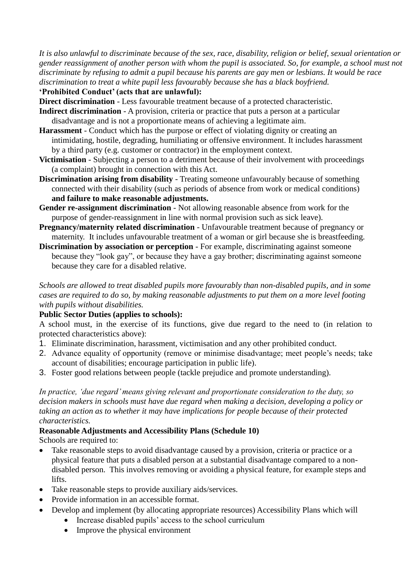*It is also unlawful to discriminate because of the sex, race, disability, religion or belief, sexual orientation or gender reassignment of another person with whom the pupil is associated. So, for example, a school must not discriminate by refusing to admit a pupil because his parents are gay men or lesbians. It would be race discrimination to treat a white pupil less favourably because she has a black boyfriend.*

**'Prohibited Conduct' (acts that are unlawful):**

<span id="page-3-2"></span>**Direct discrimination** - Less favourable treatment because of a protected characteristic.

- **Indirect discrimination** A provision, criteria or practice that puts a person at a particular disadvantage and is not a proportionate means of achieving a legitimate aim.
- **Harassment**  Conduct which has the purpose or effect of violating dignity or creating an intimidating, hostile, degrading, humiliating or offensive environment. It includes harassment by a third party (e.g. customer or contractor) in the employment context.
- **Victimisation** Subjecting a person to a detriment because of their involvement with proceedings (a complaint) brought in connection with this Act.
- **Discrimination arising from disability** Treating someone unfavourably because of something connected with their disability (such as periods of absence from work or medical conditions) **and failure to make reasonable adjustments.**
- **Gender re-assignment discrimination**  Not allowing reasonable absence from work for the purpose of gender-reassignment in line with normal provision such as sick leave).
- **Pregnancy/maternity related discrimination** Unfavourable treatment because of pregnancy or maternity. It includes unfavourable treatment of a woman or girl because she is breastfeeding.
- **Discrimination by association or perception** For example, discriminating against someone because they "look gay", or because they have a gay brother; discriminating against someone because they care for a disabled relative.

*Schools are allowed to treat disabled pupils more favourably than non-disabled pupils, and in some cases are required to do so, by making reasonable adjustments to put them on a more level footing with pupils without disabilities.*

### <span id="page-3-3"></span>**Public Sector Duties (applies to schools):**

A school must, in the exercise of its functions, give due regard to the need to (in relation to protected characteristics above):

- 1. Eliminate discrimination, harassment, victimisation and any other prohibited conduct.
- 2. Advance equality of opportunity (remove or minimise disadvantage; meet people's needs; take account of disabilities; encourage participation in public life).
- 3. Foster good relations between people (tackle prejudice and promote understanding).

*In practice, 'due regard' means giving relevant and proportionate consideration to the duty, so decision makers in schools must have due regard when making a decision, developing a policy or taking an action as to whether it may have implications for people because of their protected characteristics.*

### <span id="page-3-0"></span>**Reasonable Adjustments and Accessibility Plans (Schedule 10)**

Schools are required to:

- Take reasonable steps to avoid disadvantage caused by a provision, criteria or practice or a physical feature that puts a disabled person at a substantial disadvantage compared to a nondisabled person. This involves removing or avoiding a physical feature, for example steps and lifts.
- Take reasonable steps to provide auxiliary aids/services.
- Provide information in an accessible format.
- <span id="page-3-1"></span> Develop and implement (by allocating appropriate resources) Accessibility Plans which will
	- Increase disabled pupils' access to the school curriculum
	- Improve the physical environment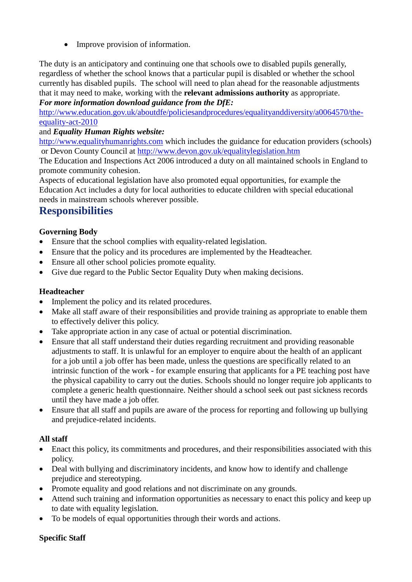• Improve provision of information.

The duty is an anticipatory and continuing one that schools owe to disabled pupils generally, regardless of whether the school knows that a particular pupil is disabled or whether the school currently has disabled pupils. The school will need to plan ahead for the reasonable adjustments that it may need to make, working with the **relevant admissions authority** as appropriate. *For more information download guidance from the DfE:*

[http://www.education.gov.uk/aboutdfe/policiesandprocedures/equalityanddiversity/a0064570/the](http://www.education.gov.uk/aboutdfe/policiesandprocedures/equalityanddiversity/a0064570/the-equality-act-2010)[equality-act-2010](http://www.education.gov.uk/aboutdfe/policiesandprocedures/equalityanddiversity/a0064570/the-equality-act-2010) 

#### and *Equality Human Rights website:*

[http://www.equalityhumanrights.com](http://www.equalityhumanrights.com/) which includes the guidance for education providers (schools) or Devon County Council at<http://www.devon.gov.uk/equalitylegislation.htm>

The Education and Inspections Act 2006 introduced a duty on all maintained schools in England to promote community cohesion.

Aspects of educational legislation have also promoted equal opportunities, for example the Education Act includes a duty for local authorities to educate children with special educational needs in mainstream schools wherever possible.

### **Responsibilities**

### **Governing Body**

- Ensure that the school complies with equality-related legislation.
- Ensure that the policy and its procedures are implemented by the Headteacher.
- Ensure all other school policies promote equality.
- Give due regard to the Public Sector Equality Duty when making decisions.

#### **Headteacher**

- Implement the policy and its related procedures.
- Make all staff aware of their responsibilities and provide training as appropriate to enable them to effectively deliver this policy.
- Take appropriate action in any case of actual or potential discrimination.
- <span id="page-4-0"></span> Ensure that all staff understand their duties regarding recruitment and providing reasonable adjustments to staff. It is unlawful for an employer to enquire about the health of an applicant for a job until a job offer has been made, unless the questions are specifically related to an intrinsic function of the work - for example ensuring that applicants for a PE teaching post have the physical capability to carry out the duties. Schools should no longer require job applicants to complete a generic health questionnaire. Neither should a school seek out past sickness records until they have made a job offer.
- Ensure that all staff and pupils are aware of the process for reporting and following up bullying and prejudice-related incidents.

#### **All staff**

- Enact this policy, its commitments and procedures, and their responsibilities associated with this policy.
- Deal with bullying and discriminatory incidents, and know how to identify and challenge prejudice and stereotyping.
- Promote equality and good relations and not discriminate on any grounds.
- Attend such training and information opportunities as necessary to enact this policy and keep up to date with equality legislation.
- To be models of equal opportunities through their words and actions.

#### **Specific Staff**